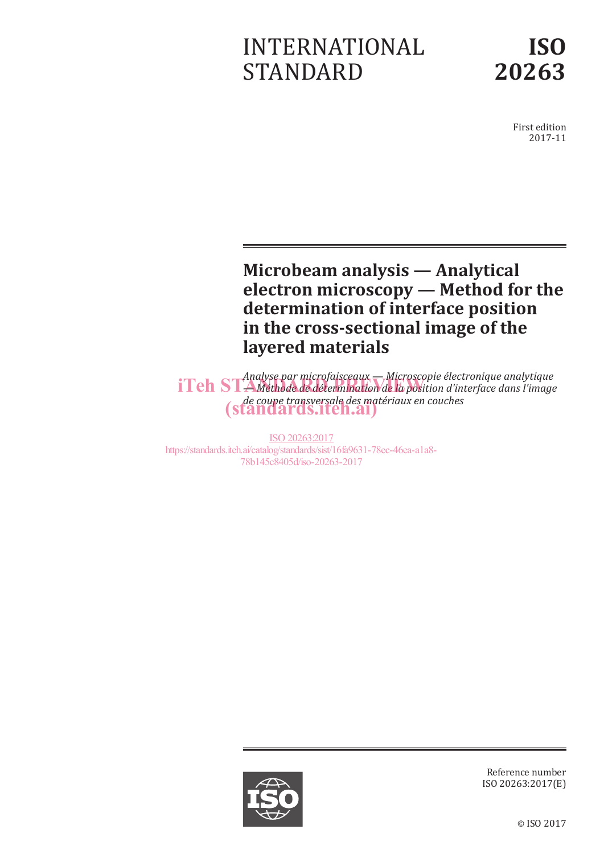# INTERNATIONAL STANDARD



First edition 2017-11

# **Microbeam analysis — Analytical electron microscopy — Method for the determination of interface position in the cross-sectional image of the layered materials**

*Analyse par microfaisceaux — Microscopie électronique analytique*  **iTeh STAnalyse par microjaisceaux** — microscopie electronique analytique<br>**iTeh STA**Méthode de détermination de la position d'interface dans l'image *de coupe transversale des matériaux en couches* (standards.iteh.ai)

ISO 20263:2017 https://standards.iteh.ai/catalog/standards/sist/16fa9631-78ec-46ea-a1a8- 78b145c8405d/iso-20263-2017



Reference number ISO 20263:2017(E)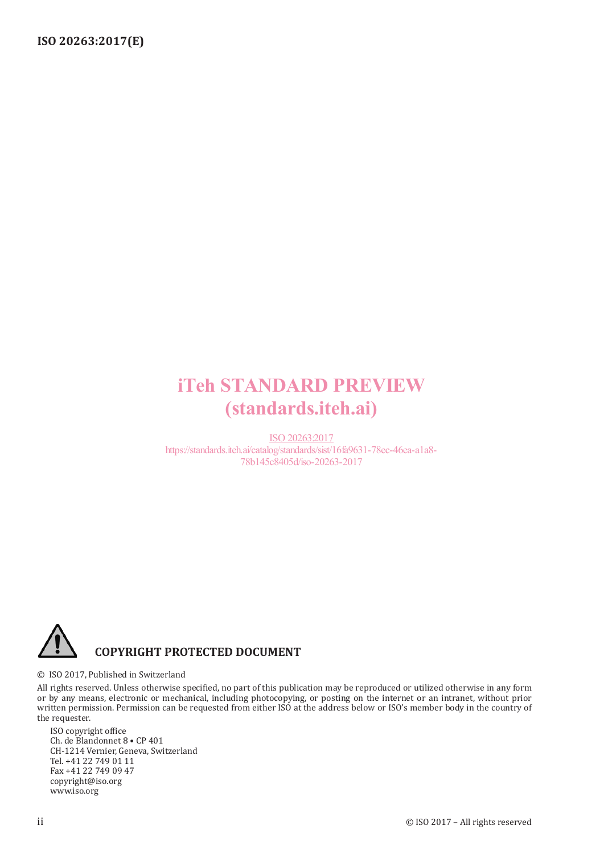# iTeh STANDARD PREVIEW (standards.iteh.ai)

ISO 20263:2017 https://standards.iteh.ai/catalog/standards/sist/16fa9631-78ec-46ea-a1a8- 78b145c8405d/iso-20263-2017



#### © ISO 2017, Published in Switzerland

All rights reserved. Unless otherwise specified, no part of this publication may be reproduced or utilized otherwise in any form or by any means, electronic or mechanical, including photocopying, or posting on the internet or an intranet, without prior written permission. Permission can be requested from either ISO at the address below or ISO's member body in the country of the requester.

ISO copyright office Ch. de Blandonnet 8 • CP 401 CH-1214 Vernier, Geneva, Switzerland Tel. +41 22 749 01 11 Fax +41 22 749 09 47 copyright@iso.org www.iso.org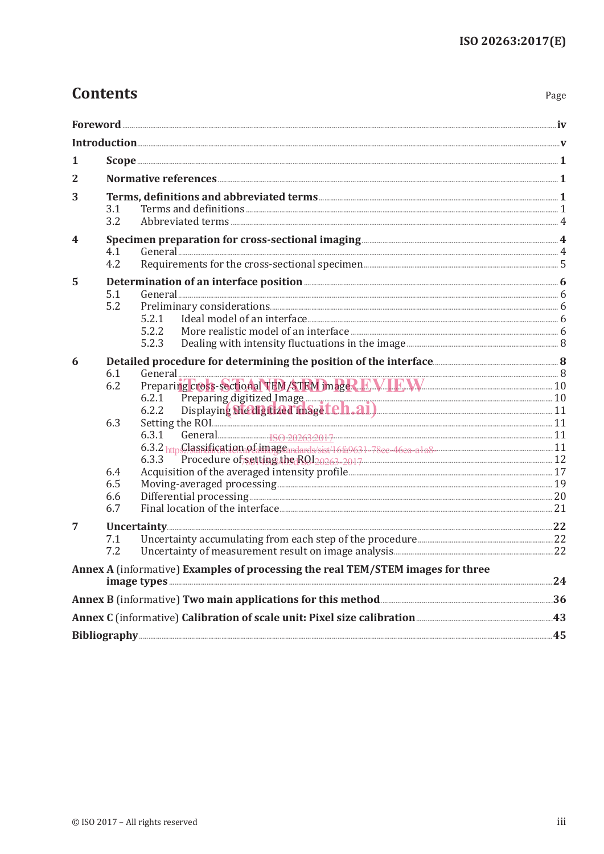Page

# **Contents**

| 1 |                                                                                                                                                                                                                                     |                                                                                                                                                                                                                                               |  |
|---|-------------------------------------------------------------------------------------------------------------------------------------------------------------------------------------------------------------------------------------|-----------------------------------------------------------------------------------------------------------------------------------------------------------------------------------------------------------------------------------------------|--|
| 2 |                                                                                                                                                                                                                                     |                                                                                                                                                                                                                                               |  |
| 3 |                                                                                                                                                                                                                                     |                                                                                                                                                                                                                                               |  |
|   | 3.1                                                                                                                                                                                                                                 |                                                                                                                                                                                                                                               |  |
|   | 3.2                                                                                                                                                                                                                                 |                                                                                                                                                                                                                                               |  |
| 4 | Specimen preparation for cross-sectional imaging <b>Speciment and Speciment Algebra</b> 4                                                                                                                                           |                                                                                                                                                                                                                                               |  |
|   | 4.1                                                                                                                                                                                                                                 |                                                                                                                                                                                                                                               |  |
|   | 4.2                                                                                                                                                                                                                                 | Requirements for the cross-sectional specimen <b>Election Contract Contract Section</b> 5                                                                                                                                                     |  |
| 5 | Determination of an interface position <b>Election</b> 2014 12:00 12:00 12:00 12:00 12:00 12:00 12:00 12:00 12:00 12:00 12:00 12:00 12:00 12:00 12:00 12:00 12:00 12:00 12:00 12:00 12:00 12:00 12:00 12:00 12:00 12:00 12:00 12:00 |                                                                                                                                                                                                                                               |  |
|   | 5.1                                                                                                                                                                                                                                 |                                                                                                                                                                                                                                               |  |
|   | 5.2                                                                                                                                                                                                                                 |                                                                                                                                                                                                                                               |  |
|   |                                                                                                                                                                                                                                     | 5.2.1                                                                                                                                                                                                                                         |  |
|   |                                                                                                                                                                                                                                     | More realistic model of an interface <b>manufacture of the contract of the contract of the contract of the contract of the contract of the contract of the contract of the contract of the contract of the contract of the contr</b><br>5.2.2 |  |
|   |                                                                                                                                                                                                                                     | 5.2.3                                                                                                                                                                                                                                         |  |
| 6 |                                                                                                                                                                                                                                     |                                                                                                                                                                                                                                               |  |
|   | 6.1                                                                                                                                                                                                                                 |                                                                                                                                                                                                                                               |  |
|   | 6.2                                                                                                                                                                                                                                 | Preparing cross-sectional TEM STEM images. E.V.I.E.W.                                                                                                                                                                                         |  |
|   |                                                                                                                                                                                                                                     | Preparing digitized Image <b>Election Contract Contract Contract Contract Contract Contract Contract Contract Contract Contract Contract Contract Contract Contract Contract Contract Contract Contract Contract Contract Contra</b><br>6.2.1 |  |
|   |                                                                                                                                                                                                                                     | Displaying Medigitized misgetch.ai)<br>6.2.2                                                                                                                                                                                                  |  |
|   | 6.3                                                                                                                                                                                                                                 |                                                                                                                                                                                                                                               |  |
|   |                                                                                                                                                                                                                                     | 6.3.1                                                                                                                                                                                                                                         |  |
|   |                                                                                                                                                                                                                                     |                                                                                                                                                                                                                                               |  |
|   |                                                                                                                                                                                                                                     | Procedure of setting the ROI <sub>20263</sub> -2017 Electron Communication and 12<br>6.3.3                                                                                                                                                    |  |
|   | 6.4                                                                                                                                                                                                                                 |                                                                                                                                                                                                                                               |  |
|   | 6.5                                                                                                                                                                                                                                 |                                                                                                                                                                                                                                               |  |
|   | 6.6                                                                                                                                                                                                                                 |                                                                                                                                                                                                                                               |  |
|   | 6.7                                                                                                                                                                                                                                 |                                                                                                                                                                                                                                               |  |
| 7 | Uncertainty 22                                                                                                                                                                                                                      |                                                                                                                                                                                                                                               |  |
|   | 7.1                                                                                                                                                                                                                                 |                                                                                                                                                                                                                                               |  |
|   | 7.2                                                                                                                                                                                                                                 |                                                                                                                                                                                                                                               |  |
|   |                                                                                                                                                                                                                                     | Annex A (informative) Examples of processing the real TEM/STEM images for three                                                                                                                                                               |  |
|   |                                                                                                                                                                                                                                     |                                                                                                                                                                                                                                               |  |
|   |                                                                                                                                                                                                                                     | Annex C (informative) Calibration of scale unit: Pixel size calibration <b>Manual Annex C</b> (informative) Calibration 6                                                                                                                     |  |
|   |                                                                                                                                                                                                                                     |                                                                                                                                                                                                                                               |  |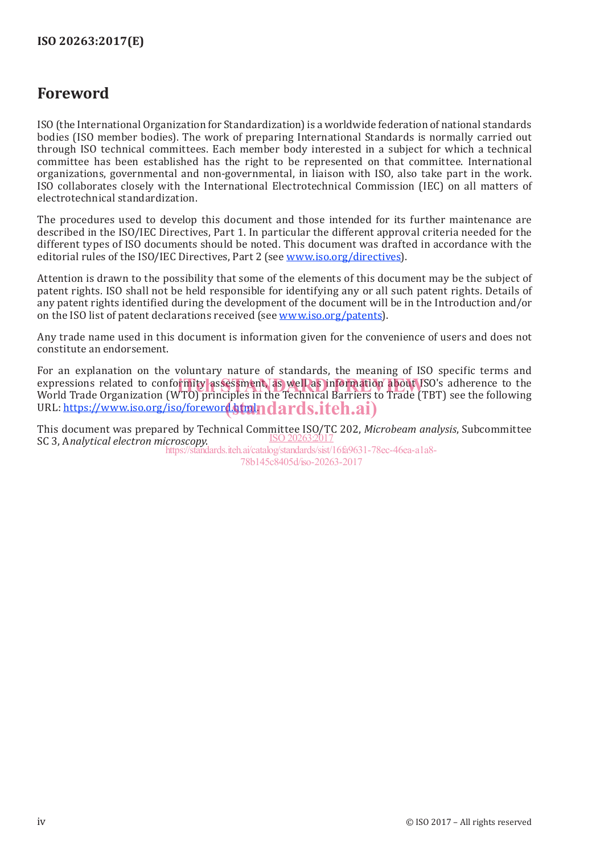# **Foreword**

ISO (the International Organization for Standardization) is a worldwide federation of national standards bodies (ISO member bodies). The work of preparing International Standards is normally carried out through ISO technical committees. Each member body interested in a subject for which a technical committee has been established has the right to be represented on that committee. International organizations, governmental and non-governmental, in liaison with ISO, also take part in the work. ISO collaborates closely with the International Electrotechnical Commission (IEC) on all matters of electrotechnical standardization.

The procedures used to develop this document and those intended for its further maintenance are described in the ISO/IEC Directives, Part 1. In particular the different approval criteria needed for the different types of ISO documents should be noted. This document was drafted in accordance with the editorial rules of the ISO/IEC Directives, Part 2 (see www.iso.org/directives).

Attention is drawn to the possibility that some of the elements of this document may be the subject of patent rights. ISO shall not be held responsible for identifying any or all such patent rights. Details of any patent rights identified during the development of the document will be in the Introduction and/or on the ISO list of patent declarations received (see www.iso.org/patents).

Any trade name used in this document is information given for the convenience of users and does not constitute an endorsement.

For an explanation on the voluntary nature of standards, the meaning of ISO specific terms and expressions related to conformity assessment, as well as information about ISO's adherence to the<br>World Trade Organization (WTO) principles in the Technical Barriers to Trade (TBT) see the following World Trade Organization (WTO) principles in the Technical Barriers to Trade (TBT) see the following URL: https://www.iso.org/iso/foreword.**html...dr...dr...........................** 

This document was prepared by Technical Committee ISO/TC 202, *Microbeam analysis*, Subcommittee SC 3, A*nalytical electron microscopy*. ISO 20263:2017

https://standards.iteh.ai/catalog/standards/sist/16fa9631-78ec-46ea-a1a8- 78b145c8405d/iso-20263-2017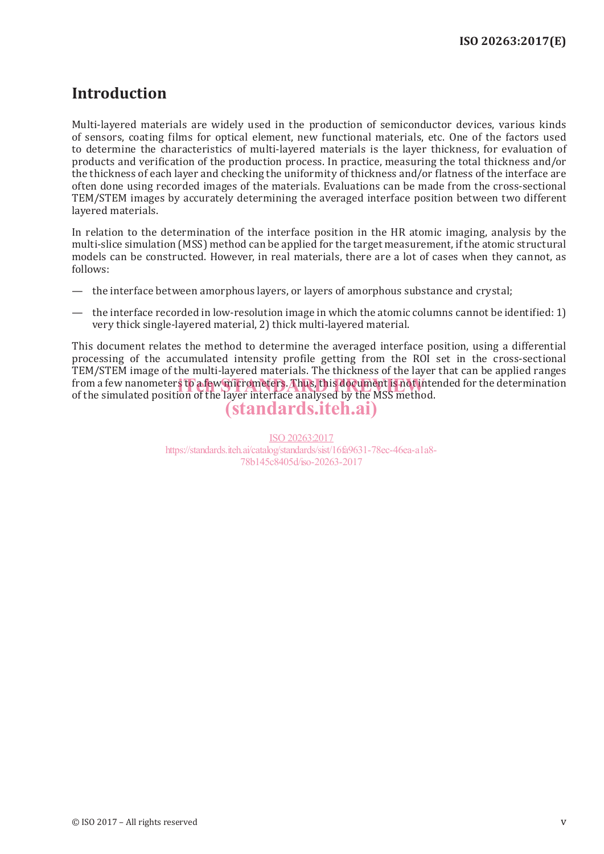# **Introduction**

Multi-layered materials are widely used in the production of semiconductor devices, various kinds of sensors, coating films for optical element, new functional materials, etc. One of the factors used to determine the characteristics of multi-layered materials is the layer thickness, for evaluation of products and verification of the production process. In practice, measuring the total thickness and/or the thickness of each layer and checking the uniformity of thickness and/or flatness of the interface are often done using recorded images of the materials. Evaluations can be made from the cross-sectional TEM/STEM images by accurately determining the averaged interface position between two different layered materials.

In relation to the determination of the interface position in the HR atomic imaging, analysis by the multi-slice simulation (MSS) method can be applied for the target measurement, if the atomic structural models can be constructed. However, in real materials, there are a lot of cases when they cannot, as follows:

- the interface between amorphous layers, or layers of amorphous substance and crystal;
- the interface recorded in low-resolution image in which the atomic columns cannot be identified: 1) very thick single-layered material, 2) thick multi-layered material.

This document relates the method to determine the averaged interface position, using a differential processing of the accumulated intensity profile getting from the ROI set in the cross-sectional TEM/STEM image of the multi-layered materials. The thickness of the layer that can be applied ranges from a few nanometers to a few micrometers. Thus, this document is not intended for the determination<br>of the simulated position of the laver interface analysed by the MSS method of the simulated position of the layer interface analysed by the MSS method. (standards.iteh.ai)

> ISO 20263:2017 https://standards.iteh.ai/catalog/standards/sist/16fa9631-78ec-46ea-a1a8- 78b145c8405d/iso-20263-2017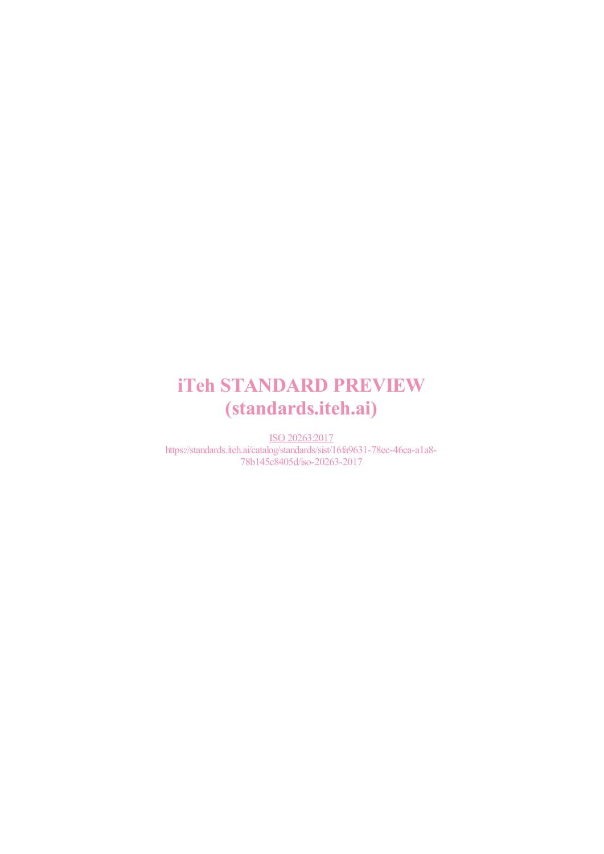# iTeh STANDARD PREVIEW (standards.iteh.ai)

ISO 20263:2017 https://standards.iteh.ai/catalog/standards/sist/16fa9631-78ec-46ea-a1a8- 78b145c8405d/iso-20263-2017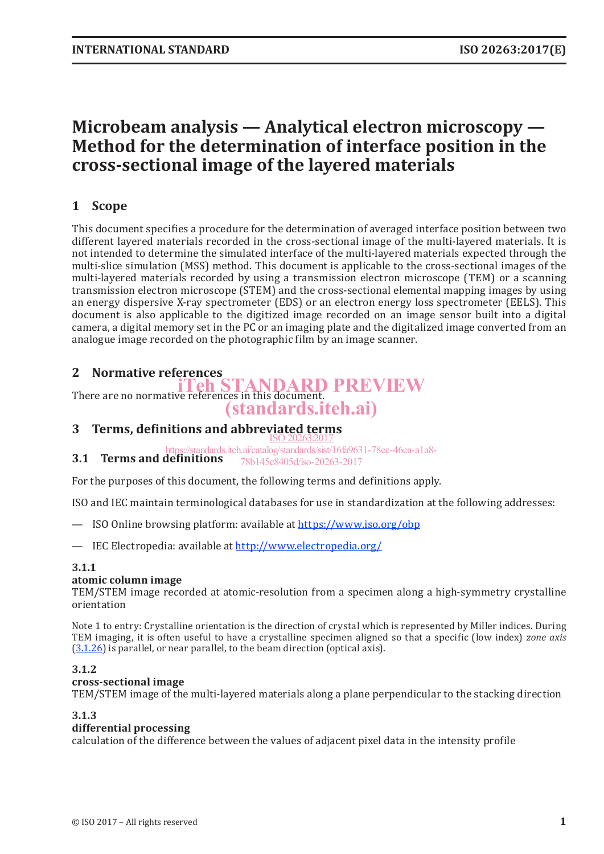# **Microbeam analysis — Analytical electron microscopy — Method for the determination of interface position in the cross-sectional image of the layered materials**

# **1 Scope**

This document specifies a procedure for the determination of averaged interface position between two different layered materials recorded in the cross-sectional image of the multi-layered materials. It is not intended to determine the simulated interface of the multi-layered materials expected through the multi-slice simulation (MSS) method. This document is applicable to the cross-sectional images of the multi-layered materials recorded by using a transmission electron microscope (TEM) or a scanning transmission electron microscope (STEM) and the cross-sectional elemental mapping images by using an energy dispersive X-ray spectrometer (EDS) or an electron energy loss spectrometer (EELS). This document is also applicable to the digitized image recorded on an image sensor built into a digital camera, a digital memory set in the PC or an imaging plate and the digitalized image converted from an analogue image recorded on the photographic film by an image scanner.

# **2 Normative references**

There are no normative references in this document. eh STANDARD PREVIEW (standards.iteh.ai)

# **3 Terms, definitions and abbreviated terms** ISO 20263:2017

**3.1 Terms and definitions** https://standards.iteh.ai/catalog/standards/sist/16fa9631-78ec-46ea-a1a8- 78b145c8405d/iso-20263-2017

For the purposes of this document, the following terms and definitions apply.

ISO and IEC maintain terminological databases for use in standardization at the following addresses:

- ISO Online browsing platform: available at https://www.iso.org/obp
- IEC Electropedia: available at http://www.electropedia.org/

# **3.1.1**

## **atomic column image**

TEM/STEM image recorded at atomic-resolution from a specimen along a high-symmetry crystalline orientation

Note 1 to entry: Crystalline orientation is the direction of crystal which is represented by Miller indices. During TEM imaging, it is often useful to have a crystalline specimen aligned so that a specific (low index) *zone axis* (3.1.26) is parallel, or near parallel, to the beam direction (optical axis).

## **3.1.2**

## **cross-sectional image**

TEM/STEM image of the multi-layered materials along a plane perpendicular to the stacking direction

## **3.1.3**

## **differential processing**

calculation of the difference between the values of adjacent pixel data in the intensity profile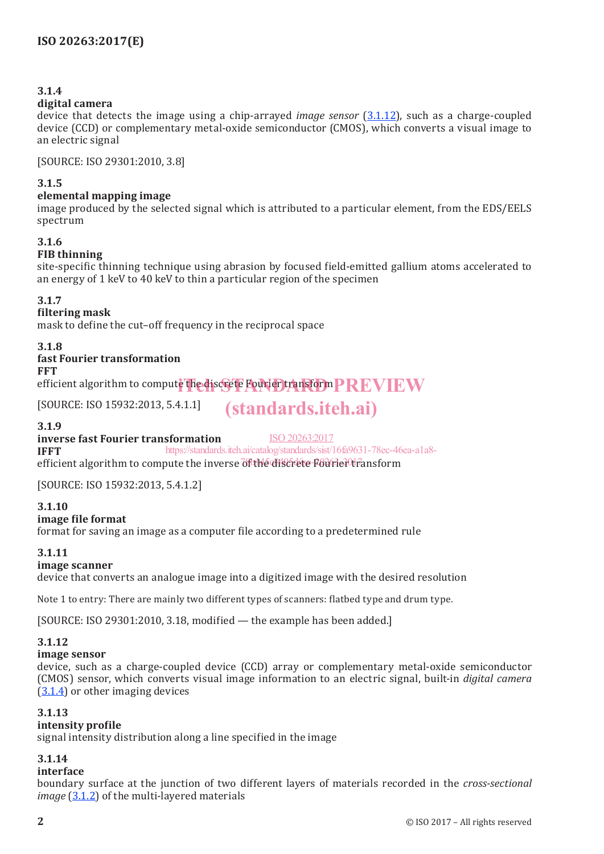# **3.1.4**

#### **digital camera**

device that detects the image using a chip-arrayed *image sensor* (3.1.12), such as a charge-coupled device (CCD) or complementary metal-oxide semiconductor (CMOS), which converts a visual image to an electric signal

[SOURCE: ISO 29301:2010, 3.8]

## **3.1.5**

#### **elemental mapping image**

image produced by the selected signal which is attributed to a particular element, from the EDS/EELS spectrum

# **3.1.6**

## **FIB thinning**

site-specific thinning technique using abrasion by focused field-emitted gallium atoms accelerated to an energy of 1 keV to 40 keV to thin a particular region of the specimen

#### **3.1.7**

# **filtering mask**

mask to define the cut–off frequency in the reciprocal space

#### **3.1.8**

# **fast Fourier transformation**

**FFT**

efficient algorithm to compute the discrete Fourier transform $\boldsymbol{P}\boldsymbol{R}\boldsymbol{E}\boldsymbol{V}\boldsymbol{I}\boldsymbol{E}\boldsymbol{W}$ 

[SOURCE: ISO 15932:2013, 5.4.1.1]

#### **3.1.9**

# **inverse fast Fourier transformation**

ISO 20263:2017

(standards.iteh.ai)

**IFFT** https://standards.iteh.ai/catalog/standards/sist/16fa9631-78ec-46ea-a1a8-

efficient algorithm to compute the inverse di the discrete-Fourier transform

[SOURCE: ISO 15932:2013, 5.4.1.2]

## **3.1.10**

#### **image file format**

format for saving an image as a computer file according to a predetermined rule

## **3.1.11**

#### **image scanner**

device that converts an analogue image into a digitized image with the desired resolution

Note 1 to entry: There are mainly two different types of scanners: flatbed type and drum type.

[SOURCE: ISO 29301:2010, 3.18, modified — the example has been added.]

## **3.1.12**

## **image sensor**

device, such as a charge-coupled device (CCD) array or complementary metal-oxide semiconductor (CMOS) sensor, which converts visual image information to an electric signal, built-in *digital camera*  $(3.1.4)$  or other imaging devices

## **3.1.13**

## **intensity profile**

signal intensity distribution along a line specified in the image

## **3.1.14**

#### **interface**

boundary surface at the junction of two different layers of materials recorded in the *cross-sectional image* (3.1.2) of the multi-layered materials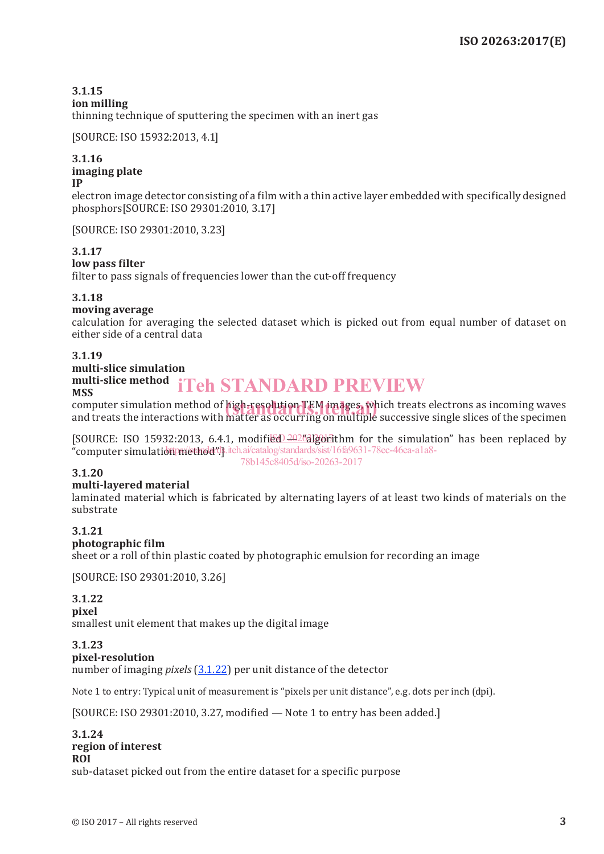# **3.1.15**

#### **ion milling**

thinning technique of sputtering the specimen with an inert gas

[SOURCE: ISO 15932:2013, 4.1]

#### **3.1.16 imaging plate IP**

electron image detector consisting of a film with a thin active layer embedded with specifically designed phosphors[SOURCE: ISO 29301:2010, 3.17]

[SOURCE: ISO 29301:2010, 3.23]

# **3.1.17**

#### **low pass filter**

filter to pass signals of frequencies lower than the cut-off frequency

# **3.1.18**

# **moving average**

calculation for averaging the selected dataset which is picked out from equal number of dataset on either side of a central data

## **3.1.19**

#### **multi-slice simulation**

#### **multi-slice method MSS** iTeh STANDARD PREVIEW

computer simulation method of high-resolution TEM images, which treats electrons as incoming waves<br>and treats the interactions with matter as occurring on multiple successive single slices of the specimen and treats the interactions with matter as occurring on multiple successive single slices of the specimen

[SOURCE: ISO 15932:2013, 6.4.1, modified  $\frac{20262}{80}$  fithm for the simulation" has been replaced by "computer simulation method".iteh.ai/catalog/standards/sist/16fa9631-78ec-46ea-a1a8-78b145c8405d/iso-20263-2017

## **3.1.20**

## **multi-layered material**

laminated material which is fabricated by alternating layers of at least two kinds of materials on the substrate

#### **3.1.21 photographic film**

sheet or a roll of thin plastic coated by photographic emulsion for recording an image

[SOURCE: ISO 29301:2010, 3.26]

## **3.1.22**

#### **pixel**

smallest unit element that makes up the digital image

# **3.1.23**

#### **pixel-resolution**

number of imaging *pixels* (3.1.22) per unit distance of the detector

Note 1 to entry: Typical unit of measurement is "pixels per unit distance", e.g. dots per inch (dpi).

[SOURCE: ISO 29301:2010, 3.27, modified — Note 1 to entry has been added.]

#### **3.1.24 region of interest ROI** sub-dataset picked out from the entire dataset for a specific purpose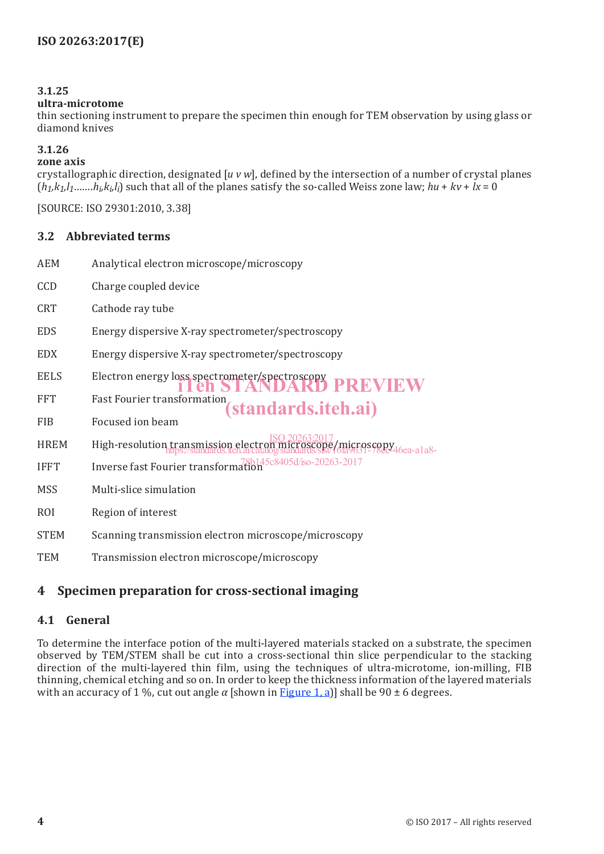# **3.1.25**

#### **ultra-microtome**

thin sectioning instrument to prepare the specimen thin enough for TEM observation by using glass or diamond knives

#### **3.1.26**

#### **zone axis**

crystallographic direction, designated [*u v w*], defined by the intersection of a number of crystal planes  $(h_1, k_1, l_1, \ldots, h_i, k_i, l_i)$  such that all of the planes satisfy the so-called Weiss zone law;  $h u + k v + l x = 0$ 

(standards.iteh.ai)

[SOURCE: ISO 29301:2010, 3.38]

## **3.2 Abbreviated terms**

- AEM Analytical electron microscope/microscopy
- CCD Charge coupled device
- CRT Cathode ray tube
- EDS Energy dispersive X-ray spectrometer/spectroscopy
- EDX Energy dispersive X-ray spectrometer/spectroscopy
- EELS Electron energy loss spectrometer/spectroscopy<br> **EELS PREVIEW**
- FFT Fast Fourier transformation
- FIB Focused ion beam
- HREM High-resolution transmission electron microscope/microscopy<br>https://sandards.ied.accade/capacatos.ied.accade/capacatos/ski/6ia9651-7862 ISO 20263:2017 https://standards.iteh.ai/catalog/standards/sist/16fa9631-78ec-46ea-a1a8-
- IFFT Inverse fast Fourier transformation 78b145c8405d/iso-20263-2017
- MSS Multi-slice simulation
- ROI Region of interest
- STEM Scanning transmission electron microscope/microscopy
- TEM Transmission electron microscope/microscopy

# **4 Specimen preparation for cross-sectional imaging**

## **4.1 General**

To determine the interface potion of the multi-layered materials stacked on a substrate, the specimen observed by TEM/STEM shall be cut into a cross-sectional thin slice perpendicular to the stacking direction of the multi-layered thin film, using the techniques of ultra-microtome, ion-milling, FIB thinning, chemical etching and so on. In order to keep the thickness information of the layered materials with an accuracy of 1 %, cut out angle  $\alpha$  [shown in Figure 1, a)] shall be 90  $\pm$  6 degrees.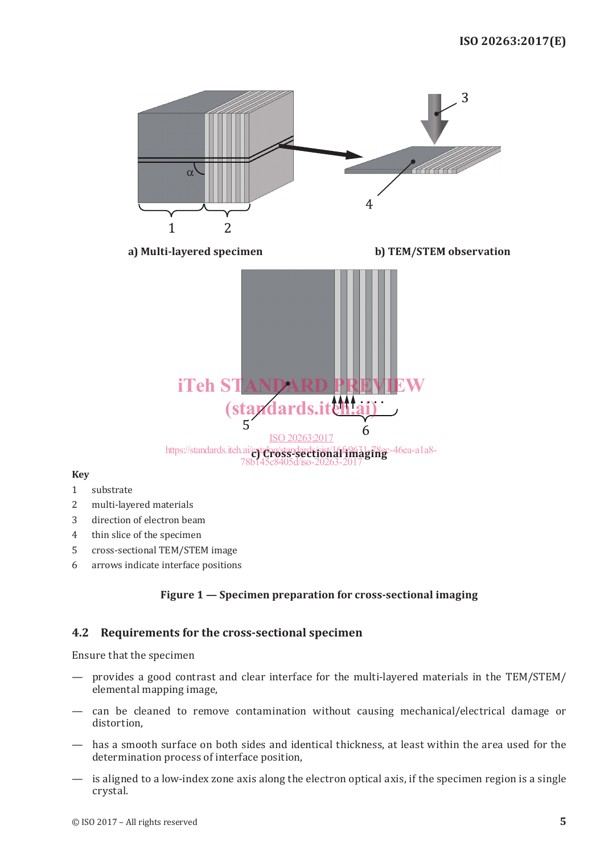

#### **Key**

- 1 substrate
- 2 multi-layered materials
- 3 direction of electron beam
- 4 thin slice of the specimen
- 5 cross-sectional TEM/STEM image
- 6 arrows indicate interface positions

## **Figure 1 — Specimen preparation for cross-sectional imaging**

## **4.2 Requirements for the cross-sectional specimen**

Ensure that the specimen

- provides a good contrast and clear interface for the multi-layered materials in the TEM/STEM/ elemental mapping image,
- can be cleaned to remove contamination without causing mechanical/electrical damage or distortion,
- has a smooth surface on both sides and identical thickness, at least within the area used for the determination process of interface position,
- is aligned to a low-index zone axis along the electron optical axis, if the specimen region is a single crystal.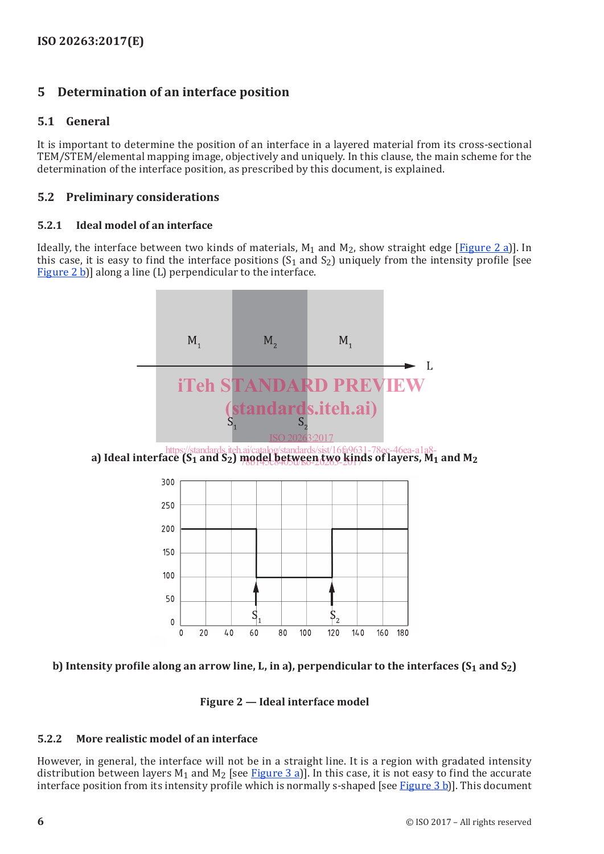# **5 Determination of an interface position**

# **5.1 General**

It is important to determine the position of an interface in a layered material from its cross-sectional TEM/STEM/elemental mapping image, objectively and uniquely. In this clause, the main scheme for the determination of the interface position, as prescribed by this document, is explained.

# **5.2 Preliminary considerations**

## **5.2.1 Ideal model of an interface**

Ideally, the interface between two kinds of materials,  $M_1$  and  $M_2$ , show straight edge [Figure 2 a)]. In this case, it is easy to find the interface positions  $(S_1$  and  $S_2)$  uniquely from the intensity profile [see Figure 2 b)] along a line (L) perpendicular to the interface.



## **b) Intensity profile along an arrow line, L, in a), perpendicular to the interfaces (S1 and S2)**

**Figure 2 — Ideal interface model**

## **5.2.2 More realistic model of an interface**

However, in general, the interface will not be in a straight line. It is a region with gradated intensity distribution between layers  $M_1$  and  $M_2$  [see Figure 3 a)]. In this case, it is not easy to find the accurate interface position from its intensity profile which is normally s-shaped [see Figure 3 b]]. This document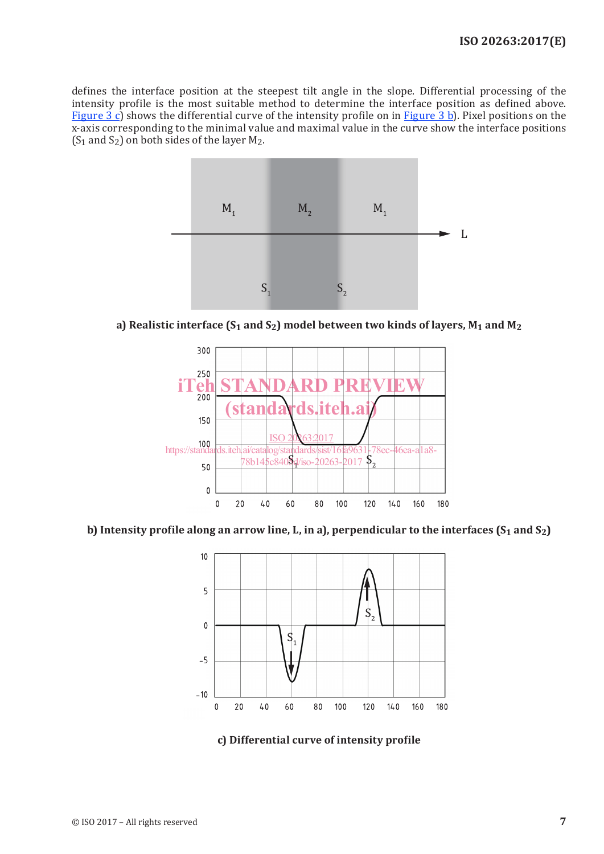defines the interface position at the steepest tilt angle in the slope. Differential processing of the intensity profile is the most suitable method to determine the interface position as defined above. Figure 3 c) shows the differential curve of the intensity profile on in Figure 3 b). Pixel positions on the x-axis corresponding to the minimal value and maximal value in the curve show the interface positions  $(S_1$  and  $S_2$ ) on both sides of the layer M<sub>2</sub>.



**a) Realistic interface (S1 and S2) model between two kinds of layers, M1 and M2**



**b) Intensity profile along an arrow line, L, in a), perpendicular to the interfaces (S1 and S2)**



**c) Differential curve of intensity profile**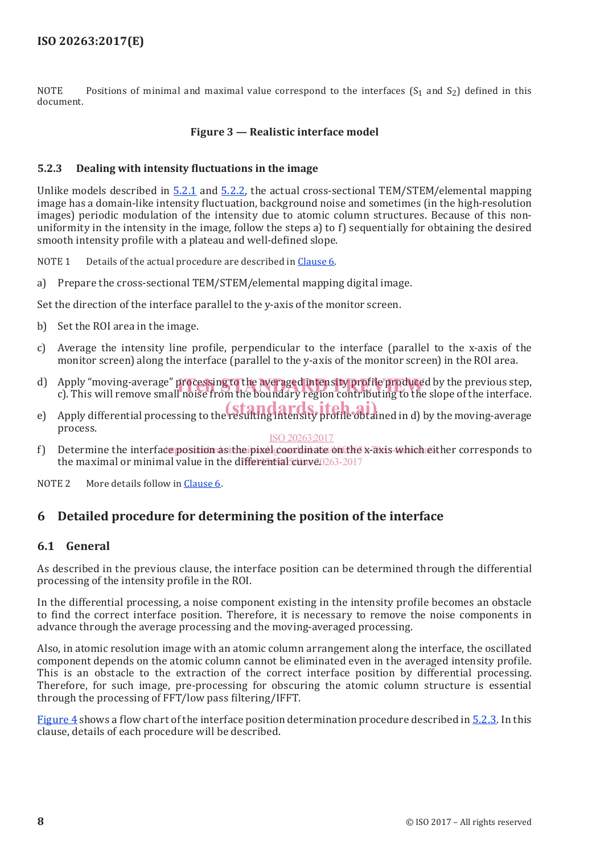NOTE Positions of minimal and maximal value correspond to the interfaces  $(S_1 \text{ and } S_2)$  defined in this document.

#### **Figure 3 — Realistic interface model**

#### **5.2.3 Dealing with intensity fluctuations in the image**

Unlike models described in 5.2.1 and 5.2.2, the actual cross-sectional TEM/STEM/elemental mapping image has a domain-like intensity fluctuation, background noise and sometimes (in the high-resolution images) periodic modulation of the intensity due to atomic column structures. Because of this nonuniformity in the intensity in the image, follow the steps a) to f) sequentially for obtaining the desired smooth intensity profile with a plateau and well-defined slope.

NOTE 1 Details of the actual procedure are described in Clause 6.

a) Prepare the cross-sectional TEM/STEM/elemental mapping digital image.

Set the direction of the interface parallel to the y-axis of the monitor screen.

- b) Set the ROI area in the image.
- c) Average the intensity line profile, perpendicular to the interface (parallel to the x-axis of the monitor screen) along the interface (parallel to the y-axis of the monitor screen) in the ROI area.
- d) Apply "moving-average" processing to the averaged intensity profile produced by the previous step,<br>c). This will remove small noise from the boundary region contributing to the slope of the interface. c). This will remove small noise from the boundary region contributing to the slope of the interface.
- e) Apply differential processing to the resulting intensity profile obtained in d) by the moving-average process. ISO 20263:2017
- f) Determine the interface position as the pixel coordinate on the x-axis which either corresponds to the maximal or minimal value in the differential curve. 0263-2017

NOTE 2 More details follow in Clause 6.

# **6 Detailed procedure for determining the position of the interface**

#### **6.1 General**

As described in the previous clause, the interface position can be determined through the differential processing of the intensity profile in the ROI.

In the differential processing, a noise component existing in the intensity profile becomes an obstacle to find the correct interface position. Therefore, it is necessary to remove the noise components in advance through the average processing and the moving-averaged processing.

Also, in atomic resolution image with an atomic column arrangement along the interface, the oscillated component depends on the atomic column cannot be eliminated even in the averaged intensity profile. This is an obstacle to the extraction of the correct interface position by differential processing. Therefore, for such image, pre-processing for obscuring the atomic column structure is essential through the processing of FFT/low pass filtering/IFFT.

Figure 4 shows a flow chart of the interface position determination procedure described in 5.2.3. In this clause, details of each procedure will be described.